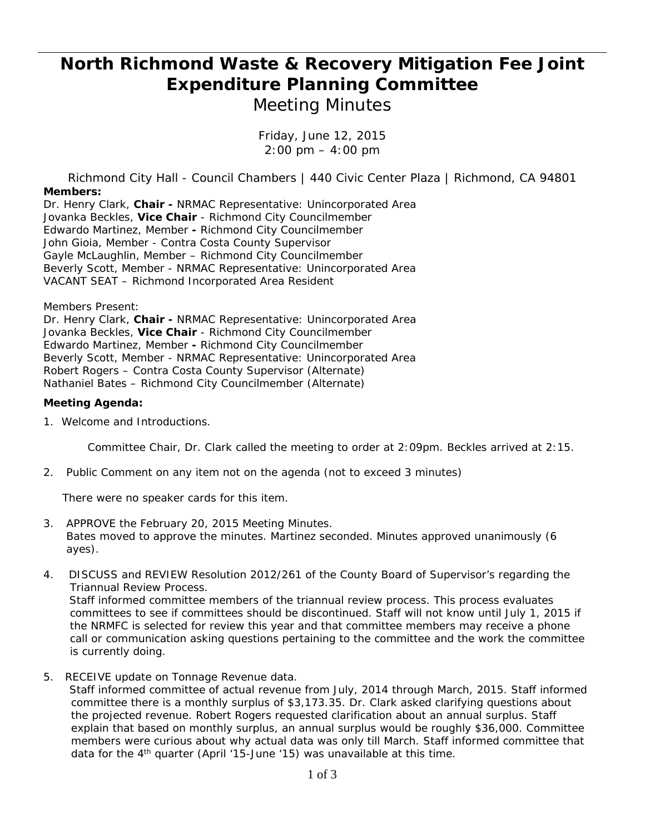## **North Richmond Waste & Recovery Mitigation Fee Joint Expenditure Planning Committee**

*Meeting Minutes* 

*Friday, June 12, 2015 2:00 pm – 4:00 pm* 

*Richmond City Hall - Council Chambers | 440 Civic Center Plaza | Richmond, CA 94801* **Members:** 

Dr. Henry Clark, **Chair -** NRMAC Representative: Unincorporated Area Jovanka Beckles, **Vice Chair** - Richmond City Councilmember Edwardo Martinez, Member **-** Richmond City Councilmember John Gioia, Member - Contra Costa County Supervisor Gayle McLaughlin, Member – Richmond City Councilmember Beverly Scott, Member - NRMAC Representative: Unincorporated Area VACANT SEAT – Richmond Incorporated Area Resident

Members Present:

Dr. Henry Clark, **Chair -** NRMAC Representative: Unincorporated Area Jovanka Beckles, **Vice Chair** - Richmond City Councilmember Edwardo Martinez, Member **-** Richmond City Councilmember Beverly Scott, Member - NRMAC Representative: Unincorporated Area Robert Rogers – Contra Costa County Supervisor (Alternate) Nathaniel Bates – Richmond City Councilmember (Alternate)

## **Meeting Agenda:**

1. Welcome and Introductions.

Committee Chair, Dr. Clark called the meeting to order at 2:09pm. Beckles arrived at 2:15.

*2.* Public Comment on any item not on the agenda *(not to exceed 3 minutes)* 

There were no speaker cards for this item.

- 3. *APPROVE* the February 20, 2015 Meeting Minutes. Bates moved to approve the minutes. Martinez seconded. Minutes approved unanimously (6 ayes).
- 4. *DISCUSS and REVIEW Resolution 2012/261 of the County Board of Supervisor's regarding the Triannual Review Process.* Staff informed committee members of the triannual review process. This process evaluates committees to see if committees should be discontinued. Staff will not know until July 1, 2015 if the NRMFC is selected for review this year and that committee members may receive a phone call or communication asking questions pertaining to the committee and the work the committee is currently doing.
- 5. *RECEIVE update on Tonnage Revenue data*.

 Staff informed committee of actual revenue from July, 2014 through March, 2015. Staff informed committee there is a monthly surplus of \$3,173.35. Dr. Clark asked clarifying questions about the projected revenue. Robert Rogers requested clarification about an annual surplus. Staff explain that based on monthly surplus, an annual surplus would be roughly \$36,000. Committee members were curious about why actual data was only till March. Staff informed committee that data for the  $4<sup>th</sup>$  quarter (April '15-June '15) was unavailable at this time.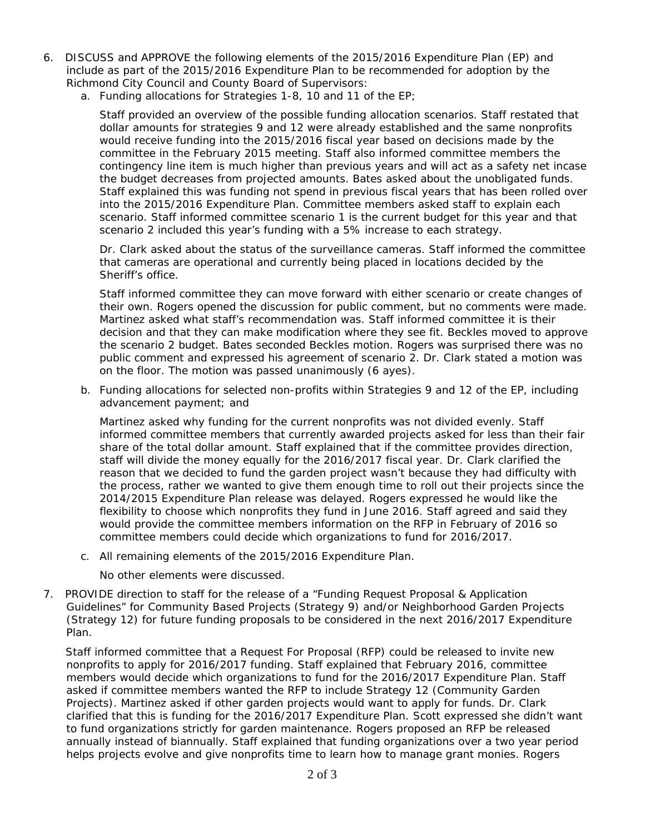- 6. *DISCUSS* and *APPROVE* the following elements of the 2015/2016 Expenditure Plan (EP) and include as part of the 2015/2016 Expenditure Plan to be recommended for adoption by the Richmond City Council and County Board of Supervisors:
	- a. Funding allocations for Strategies 1-8, 10 and 11 of the EP;

Staff provided an overview of the possible funding allocation scenarios. Staff restated that dollar amounts for strategies 9 and 12 were already established and the same nonprofits would receive funding into the 2015/2016 fiscal year based on decisions made by the committee in the February 2015 meeting. Staff also informed committee members the contingency line item is much higher than previous years and will act as a safety net incase the budget decreases from projected amounts. Bates asked about the unobligated funds. Staff explained this was funding not spend in previous fiscal years that has been rolled over into the 2015/2016 Expenditure Plan. Committee members asked staff to explain each scenario. Staff informed committee scenario 1 is the current budget for this year and that scenario 2 included this year's funding with a 5% increase to each strategy.

Dr. Clark asked about the status of the surveillance cameras. Staff informed the committee that cameras are operational and currently being placed in locations decided by the Sheriff's office.

Staff informed committee they can move forward with either scenario or create changes of their own. Rogers opened the discussion for public comment, but no comments were made. Martinez asked what staff's recommendation was. Staff informed committee it is their decision and that they can make modification where they see fit. Beckles moved to approve the scenario 2 budget. Bates seconded Beckles motion. Rogers was surprised there was no public comment and expressed his agreement of scenario 2. Dr. Clark stated a motion was on the floor. The motion was passed unanimously (6 ayes).

b. Funding allocations for selected non-profits within Strategies 9 and 12 of the EP, including advancement payment; and

Martinez asked why funding for the current nonprofits was not divided evenly. Staff informed committee members that currently awarded projects asked for less than their fair share of the total dollar amount. Staff explained that if the committee provides direction, staff will divide the money equally for the 2016/2017 fiscal year. Dr. Clark clarified the reason that we decided to fund the garden project wasn't because they had difficulty with the process, rather we wanted to give them enough time to roll out their projects since the 2014/2015 Expenditure Plan release was delayed. Rogers expressed he would like the flexibility to choose which nonprofits they fund in June 2016. Staff agreed and said they would provide the committee members information on the RFP in February of 2016 so committee members could decide which organizations to fund for 2016/2017.

c. All remaining elements of the 2015/2016 Expenditure Plan.

No other elements were discussed.

7. *PROVIDE* direction to staff for the release of a "Funding Request Proposal & Application Guidelines" for Community Based Projects (Strategy 9) and/or Neighborhood Garden Projects (Strategy 12) for future funding proposals to be considered in the next 2016/2017 Expenditure Plan.

 Staff informed committee that a Request For Proposal (RFP) could be released to invite new nonprofits to apply for 2016/2017 funding. Staff explained that February 2016, committee members would decide which organizations to fund for the 2016/2017 Expenditure Plan. Staff asked if committee members wanted the RFP to include Strategy 12 (Community Garden Projects). Martinez asked if other garden projects would want to apply for funds. Dr. Clark clarified that this is funding for the 2016/2017 Expenditure Plan. Scott expressed she didn't want to fund organizations strictly for garden maintenance. Rogers proposed an RFP be released annually instead of biannually. Staff explained that funding organizations over a two year period helps projects evolve and give nonprofits time to learn how to manage grant monies. Rogers